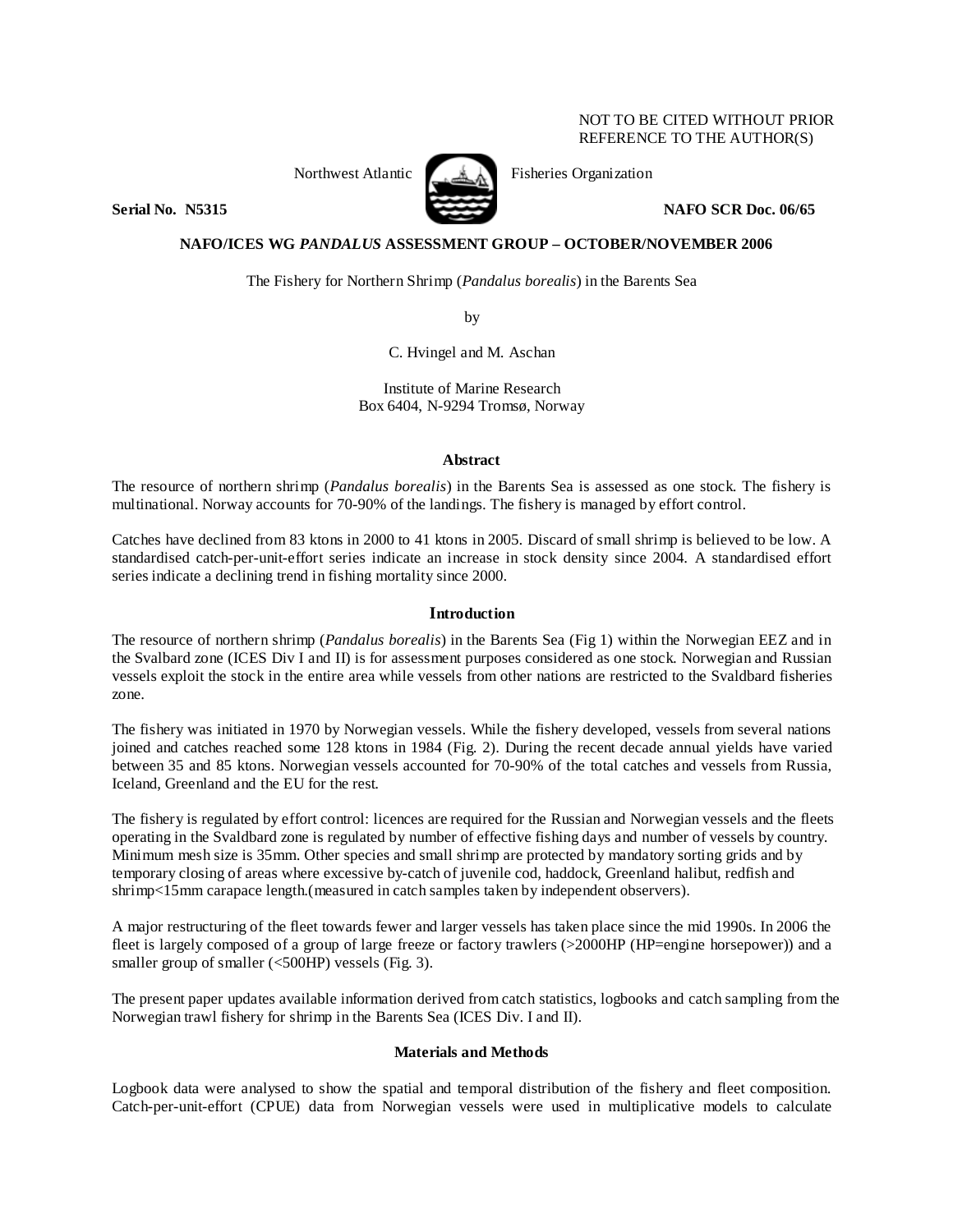# NOT TO BE CITED WITHOUT PRIOR REFERENCE TO THE AUTHOR(S)



Northwest Atlantic  $\begin{matrix} \bullet & \bullet & \bullet \\ \bullet & \bullet & \bullet \end{matrix}$  Fisheries Organization

**Serial No. 38315 NAFO SCR Doc. 06/65** 

# **NAFO/ICES WG** *PANDALUS* **ASSESSMENT GROUP – OCTOBER/NOVEMBER 2006**

The Fishery for Northern Shrimp (*Pandalus borealis*) in the Barents Sea

by

C. Hvingel and M. Aschan

Institute of Marine Research Box 6404, N-9294 Tromsø, Norway

## **Abstract**

The resource of northern shrimp (*Pandalus borealis*) in the Barents Sea is assessed as one stock. The fishery is multinational. Norway accounts for 70-90% of the landings. The fishery is managed by effort control.

Catches have declined from 83 ktons in 2000 to 41 ktons in 2005. Discard of small shrimp is believed to be low. A standardised catch-per-unit-effort series indicate an increase in stock density since 2004. A standardised effort series indicate a declining trend in fishing mortality since 2000.

## **Introduction**

The resource of northern shrimp (*Pandalus borealis*) in the Barents Sea (Fig 1) within the Norwegian EEZ and in the Svalbard zone (ICES Div I and II) is for assessment purposes considered as one stock. Norwegian and Russian vessels exploit the stock in the entire area while vessels from other nations are restricted to the Svaldbard fisheries zone.

The fishery was initiated in 1970 by Norwegian vessels. While the fishery developed, vessels from several nations joined and catches reached some 128 ktons in 1984 (Fig. 2). During the recent decade annual yields have varied between 35 and 85 ktons. Norwegian vessels accounted for 70-90% of the total catches and vessels from Russia, Iceland, Greenland and the EU for the rest.

The fishery is regulated by effort control: licences are required for the Russian and Norwegian vessels and the fleets operating in the Svaldbard zone is regulated by number of effective fishing days and number of vessels by country. Minimum mesh size is 35mm. Other species and small shrimp are protected by mandatory sorting grids and by temporary closing of areas where excessive by-catch of juvenile cod, haddock, Greenland halibut, redfish and shrimp<15mm carapace length.(measured in catch samples taken by independent observers).

A major restructuring of the fleet towards fewer and larger vessels has taken place since the mid 1990s. In 2006 the fleet is largely composed of a group of large freeze or factory trawlers (>2000HP (HP=engine horsepower)) and a smaller group of smaller  $( $500HP$ ) vessels (Fig. 3).$ 

The present paper updates available information derived from catch statistics, logbooks and catch sampling from the Norwegian trawl fishery for shrimp in the Barents Sea (ICES Div. I and II).

## **Materials and Methods**

Logbook data were analysed to show the spatial and temporal distribution of the fishery and fleet composition. Catch-per-unit-effort (CPUE) data from Norwegian vessels were used in multiplicative models to calculate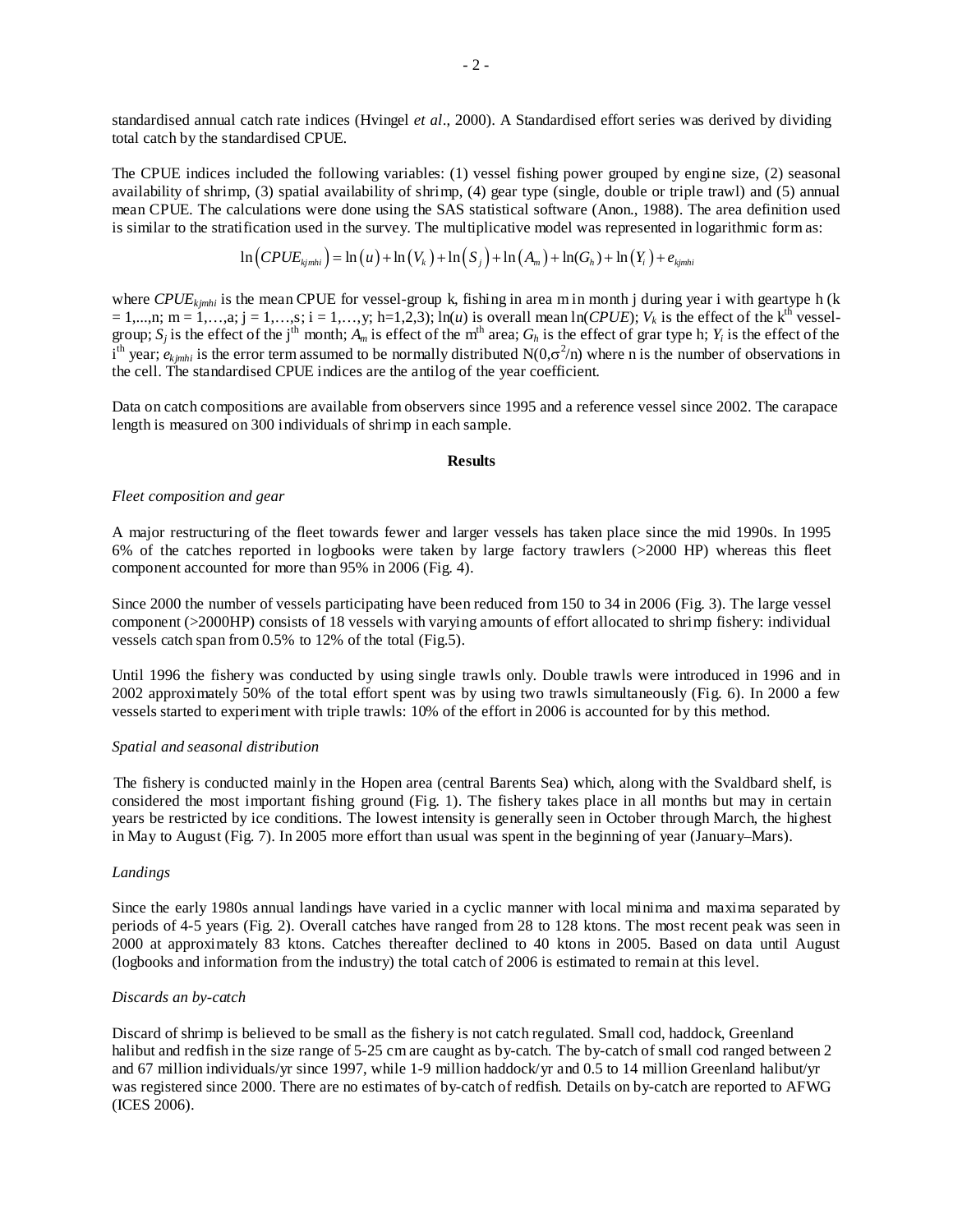standardised annual catch rate indices (Hvingel *et al*., 2000). A Standardised effort series was derived by dividing total catch by the standardised CPUE.

The CPUE indices included the following variables: (1) vessel fishing power grouped by engine size, (2) seasonal availability of shrimp, (3) spatial availability of shrimp, (4) gear type (single, double or triple trawl) and (5) annual mean CPUE. The calculations were done using the SAS statistical software (Anon., 1988). The area definition used is similar to the stratification used in the survey. The multiplicative model was represented in logarithmic form as:

$$
\ln\left(CPUE_{kjmhi}\right) = \ln\left(u\right) + \ln\left(V_k\right) + \ln\left(S_j\right) + \ln\left(A_m\right) + \ln\left(G_h\right) + \ln\left(Y_i\right) + e_{kjmhi}
$$

where *CPUE<sub>kimhi</sub>* is the mean CPUE for vessel-group k, fishing in area m in month j during year i with geartype h (k  $= 1,...,n;$  m  $= 1,...,a;$  j  $= 1,...,s;$  i  $= 1,...,y;$  h=1,2,3); ln(*u*) is overall mean ln(*CPUE*);  $V_k$  is the effect of the k<sup>th</sup> vesselgroup;  $S_j$  is the effect of the j<sup>th</sup> month;  $A_m$  is effect of the m<sup>th</sup> area;  $G_h$  is the effect of grar type h;  $Y_i$  is the effect of the  $i<sup>th</sup>$  year;  $e_{kjmli}$  is the error term assumed to be normally distributed N(0, $\sigma^2$ /n) where n is the number of observations in the cell. The standardised CPUE indices are the antilog of the year coefficient.

Data on catch compositions are available from observers since 1995 and a reference vessel since 2002. The carapace length is measured on 300 individuals of shrimp in each sample.

### **Results**

### *Fleet composition and gear*

A major restructuring of the fleet towards fewer and larger vessels has taken place since the mid 1990s. In 1995 6% of the catches reported in logbooks were taken by large factory trawlers (>2000 HP) whereas this fleet component accounted for more than 95% in 2006 (Fig. 4).

Since 2000 the number of vessels participating have been reduced from 150 to 34 in 2006 (Fig. 3). The large vessel component (>2000HP) consists of 18 vessels with varying amounts of effort allocated to shrimp fishery: individual vessels catch span from 0.5% to 12% of the total (Fig.5).

Until 1996 the fishery was conducted by using single trawls only. Double trawls were introduced in 1996 and in 2002 approximately 50% of the total effort spent was by using two trawls simultaneously (Fig. 6). In 2000 a few vessels started to experiment with triple trawls: 10% of the effort in 2006 is accounted for by this method.

#### *Spatial and seasonal distribution*

The fishery is conducted mainly in the Hopen area (central Barents Sea) which, along with the Svaldbard shelf, is considered the most important fishing ground (Fig. 1). The fishery takes place in all months but may in certain years be restricted by ice conditions. The lowest intensity is generally seen in October through March, the highest in May to August (Fig. 7). In 2005 more effort than usual was spent in the beginning of year (January–Mars).

# *Landings*

Since the early 1980s annual landings have varied in a cyclic manner with local minima and maxima separated by periods of 4-5 years (Fig. 2). Overall catches have ranged from 28 to 128 ktons. The most recent peak was seen in 2000 at approximately 83 ktons. Catches thereafter declined to 40 ktons in 2005. Based on data until August (logbooks and information from the industry) the total catch of 2006 is estimated to remain at this level.

## *Discards an by-catch*

Discard of shrimp is believed to be small as the fishery is not catch regulated. Small cod, haddock, Greenland halibut and redfish in the size range of 5-25 cm are caught as by-catch. The by-catch of small cod ranged between 2 and 67 million individuals/yr since 1997, while 1-9 million haddock/yr and 0.5 to 14 million Greenland halibut/yr was registered since 2000. There are no estimates of by-catch of redfish. Details on by-catch are reported to AFWG (ICES 2006).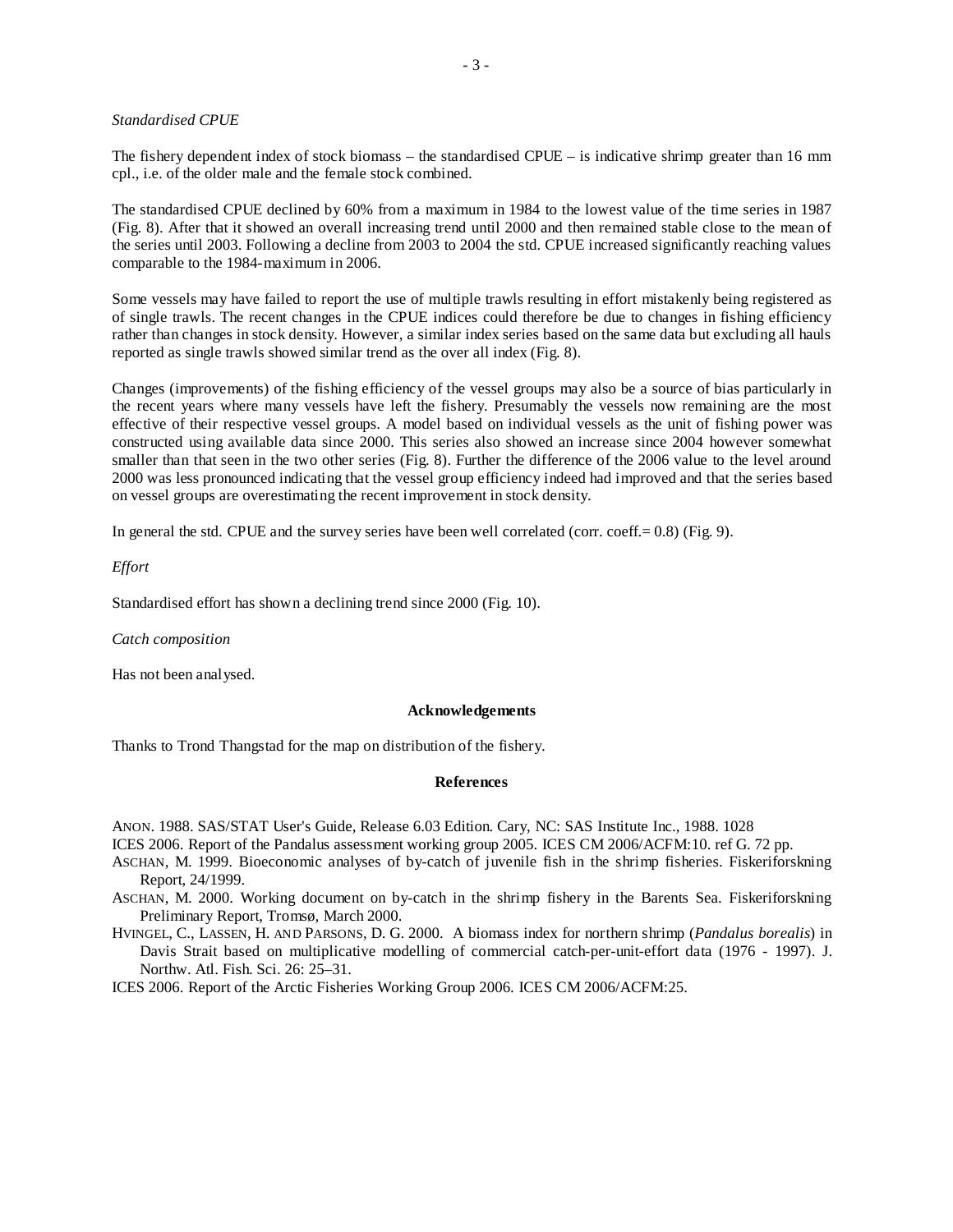## *Standardised CPUE*

The fishery dependent index of stock biomass – the standardised CPUE – is indicative shrimp greater than 16 mm cpl., i.e. of the older male and the female stock combined.

The standardised CPUE declined by 60% from a maximum in 1984 to the lowest value of the time series in 1987 (Fig. 8). After that it showed an overall increasing trend until 2000 and then remained stable close to the mean of the series until 2003. Following a decline from 2003 to 2004 the std. CPUE increased significantly reaching values comparable to the 1984-maximum in 2006.

Some vessels may have failed to report the use of multiple trawls resulting in effort mistakenly being registered as of single trawls. The recent changes in the CPUE indices could therefore be due to changes in fishing efficiency rather than changes in stock density. However, a similar index series based on the same data but excluding all hauls reported as single trawls showed similar trend as the over all index (Fig. 8).

Changes (improvements) of the fishing efficiency of the vessel groups may also be a source of bias particularly in the recent years where many vessels have left the fishery. Presumably the vessels now remaining are the most effective of their respective vessel groups. A model based on individual vessels as the unit of fishing power was constructed using available data since 2000. This series also showed an increase since 2004 however somewhat smaller than that seen in the two other series (Fig. 8). Further the difference of the 2006 value to the level around 2000 was less pronounced indicating that the vessel group efficiency indeed had improved and that the series based on vessel groups are overestimating the recent improvement in stock density.

In general the std. CPUE and the survey series have been well correlated (corr. coeff. = 0.8) (Fig. 9).

*Effort* 

Standardised effort has shown a declining trend since 2000 (Fig. 10).

*Catch composition* 

Has not been analysed.

#### **Acknowledgements**

Thanks to Trond Thangstad for the map on distribution of the fishery.

#### **References**

ANON. 1988. SAS/STAT User's Guide, Release 6.03 Edition. Cary, NC: SAS Institute Inc., 1988. 1028

ICES 2006. Report of the Pandalus assessment working group 2005. ICES CM 2006/ACFM:10. ref G. 72 pp.

- ASCHAN, M. 1999. Bioeconomic analyses of by-catch of juvenile fish in the shrimp fisheries. Fiskeriforskning Report, 24/1999.
- ASCHAN, M. 2000. Working document on by-catch in the shrimp fishery in the Barents Sea. Fiskeriforskning Preliminary Report, Tromsø, March 2000.
- HVINGEL, C., LASSEN, H. AND PARSONS, D. G. 2000. A biomass index for northern shrimp (*Pandalus borealis*) in Davis Strait based on multiplicative modelling of commercial catch-per-unit-effort data (1976 - 1997). J. Northw. Atl. Fish. Sci. 26: 25–31.

ICES 2006. Report of the Arctic Fisheries Working Group 2006. ICES CM 2006/ACFM:25.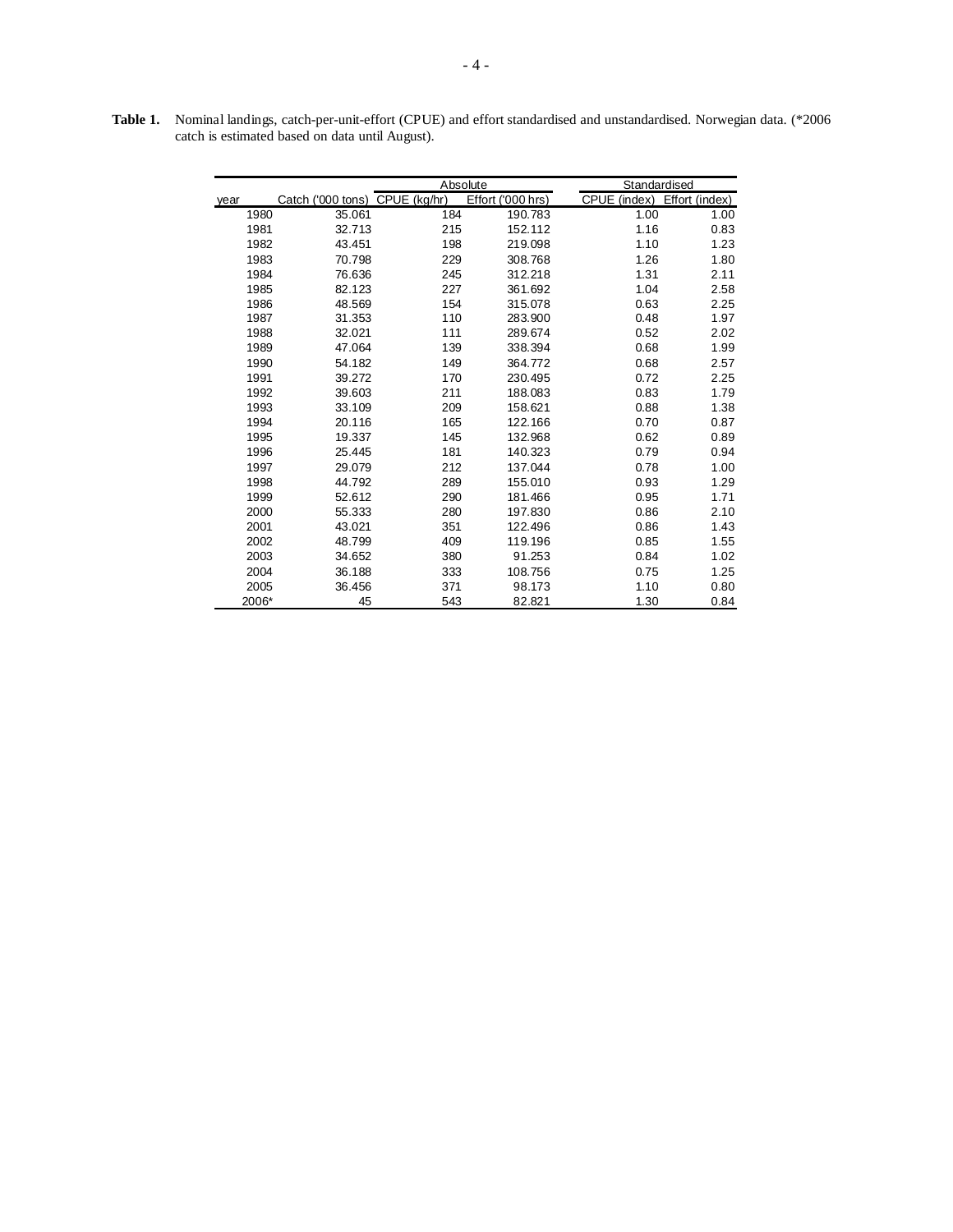|       |                                | Absolute |                   |              | Standardised   |  |  |
|-------|--------------------------------|----------|-------------------|--------------|----------------|--|--|
| year  | Catch ('000 tons) CPUE (kg/hr) |          | Effort ('000 hrs) | CPUE (index) | Effort (index) |  |  |
| 1980  | 35.061                         | 184      | 190.783           | 1.00         | 1.00           |  |  |
| 1981  | 32.713                         | 215      | 152.112           | 1.16         | 0.83           |  |  |
| 1982  | 43.451                         | 198      | 219.098           | 1.10         | 1.23           |  |  |
| 1983  | 70.798                         | 229      | 308.768           | 1.26         | 1.80           |  |  |
| 1984  | 76.636                         | 245      | 312.218           | 1.31         | 2.11           |  |  |
| 1985  | 82.123                         | 227      | 361.692           | 1.04         | 2.58           |  |  |
| 1986  | 48.569                         | 154      | 315.078           | 0.63         | 2.25           |  |  |
| 1987  | 31.353                         | 110      | 283.900           | 0.48         | 1.97           |  |  |
| 1988  | 32.021                         | 111      | 289.674           | 0.52         | 2.02           |  |  |
| 1989  | 47.064                         | 139      | 338.394           | 0.68         | 1.99           |  |  |
| 1990  | 54.182                         | 149      | 364.772           | 0.68         | 2.57           |  |  |
| 1991  | 39.272                         | 170      | 230.495           | 0.72         | 2.25           |  |  |
| 1992  | 39.603                         | 211      | 188.083           | 0.83         | 1.79           |  |  |
| 1993  | 33.109                         | 209      | 158.621           | 0.88         | 1.38           |  |  |
| 1994  | 20.116                         | 165      | 122.166           | 0.70         | 0.87           |  |  |
| 1995  | 19.337                         | 145      | 132.968           | 0.62         | 0.89           |  |  |
| 1996  | 25.445                         | 181      | 140.323           | 0.79         | 0.94           |  |  |
| 1997  | 29.079                         | 212      | 137.044           | 0.78         | 1.00           |  |  |
| 1998  | 44.792                         | 289      | 155.010           | 0.93         | 1.29           |  |  |
| 1999  | 52.612                         | 290      | 181.466           | 0.95         | 1.71           |  |  |
| 2000  | 55.333                         | 280      | 197.830           | 0.86         | 2.10           |  |  |
| 2001  | 43.021                         | 351      | 122.496           | 0.86         | 1.43           |  |  |
| 2002  | 48.799                         | 409      | 119.196           | 0.85         | 1.55           |  |  |
| 2003  | 34.652                         | 380      | 91.253            | 0.84         | 1.02           |  |  |
| 2004  | 36.188                         | 333      | 108.756           | 0.75         | 1.25           |  |  |
| 2005  | 36.456                         | 371      | 98.173            | 1.10         | 0.80           |  |  |
| 2006* | 45                             | 543      | 82.821            | 1.30         | 0.84           |  |  |

**Table 1.** Nominal landings, catch-per-unit-effort (CPUE) and effort standardised and unstandardised. Norwegian data. (\*2006 catch is estimated based on data until August).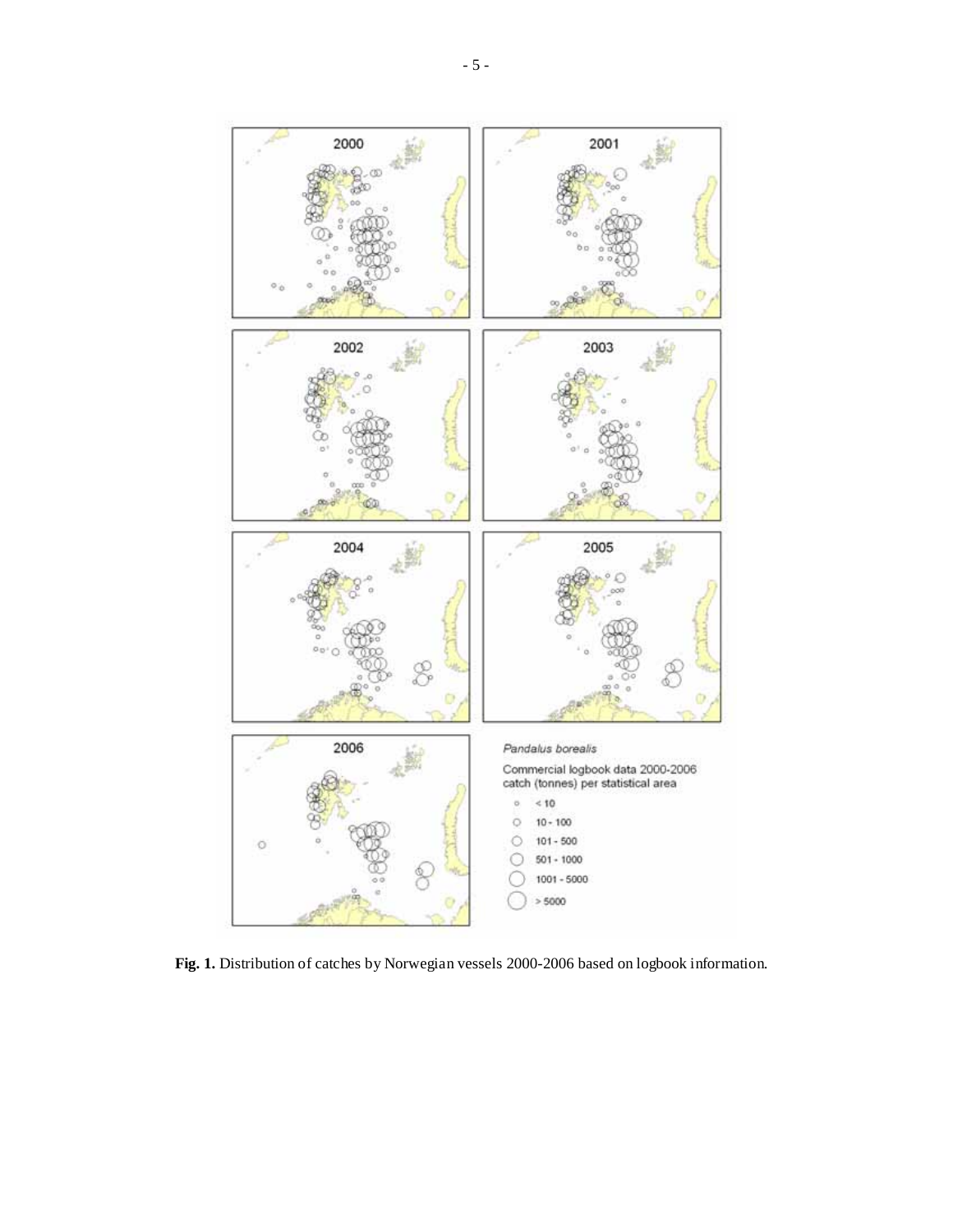

**Fig. 1.** Distribution of catches by Norwegian vessels 2000-2006 based on logbook information.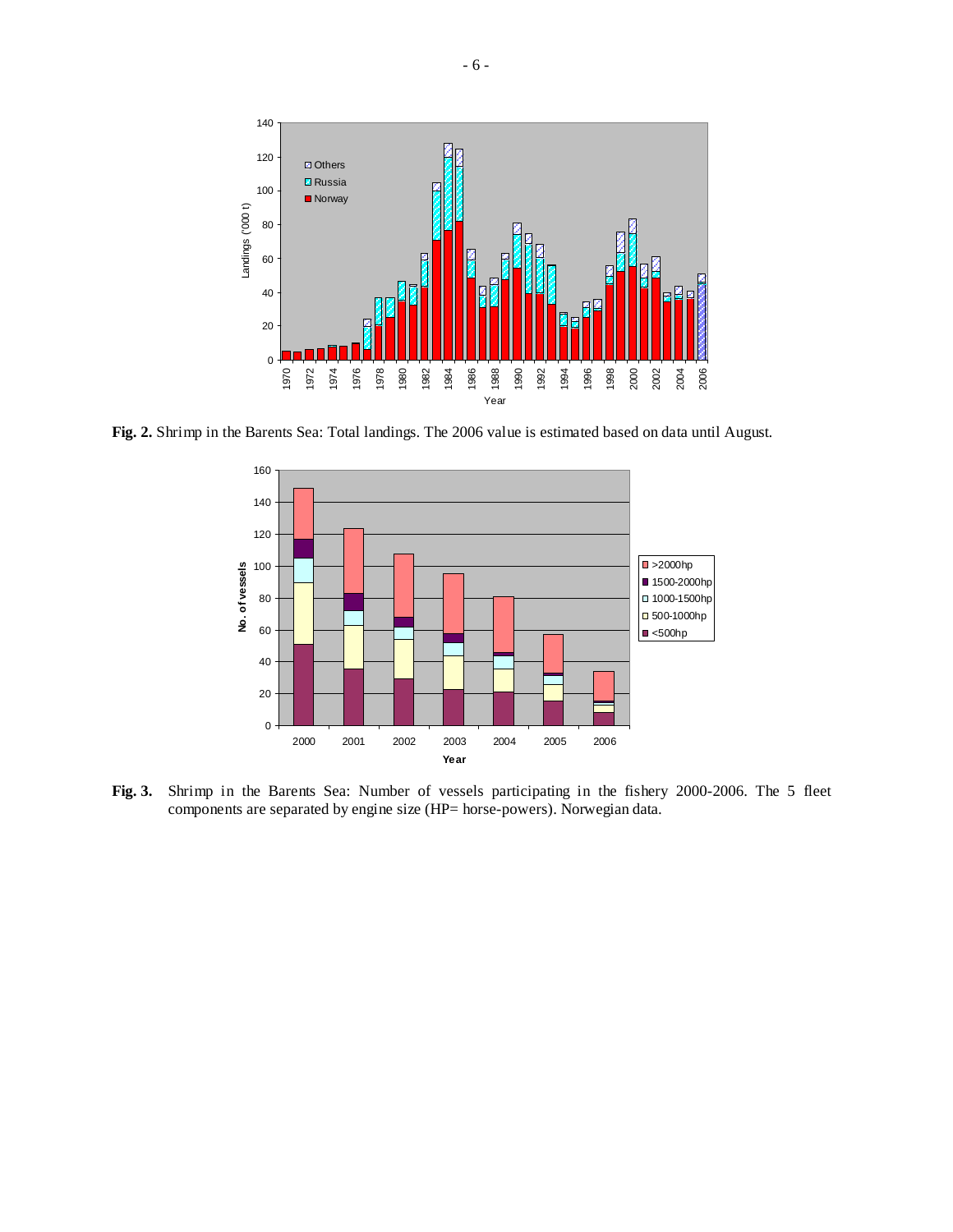

**Fig. 2.** Shrimp in the Barents Sea: Total landings. The 2006 value is estimated based on data until August.



**Fig. 3.** Shrimp in the Barents Sea: Number of vessels participating in the fishery 2000-2006. The 5 fleet components are separated by engine size (HP= horse-powers). Norwegian data.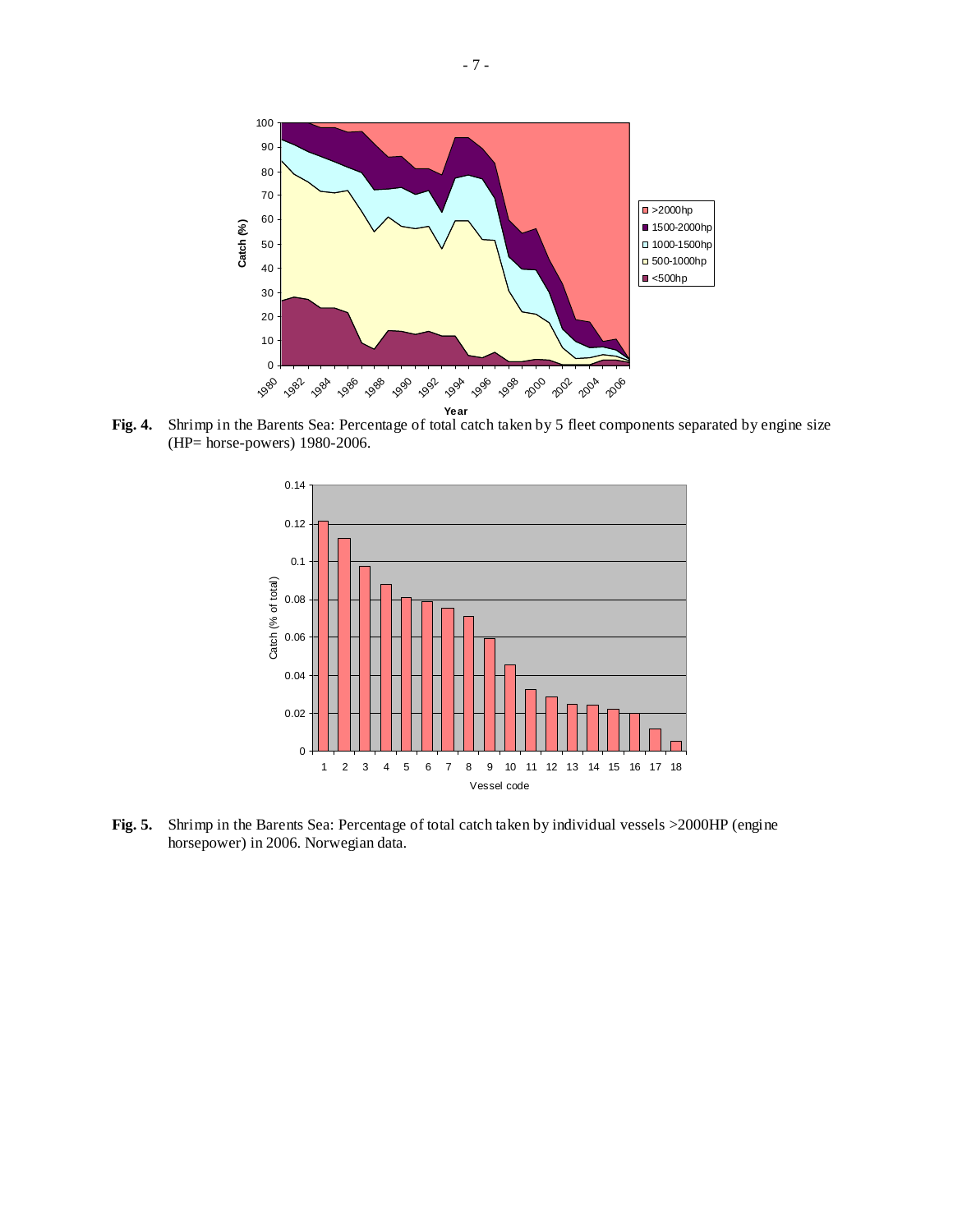

**Fig. 4.** Shrimp in the Barents Sea: Percentage of total catch taken by 5 fleet components separated by engine size (HP= horse-powers) 1980-2006.



**Fig. 5.** Shrimp in the Barents Sea: Percentage of total catch taken by individual vessels >2000HP (engine horsepower) in 2006. Norwegian data.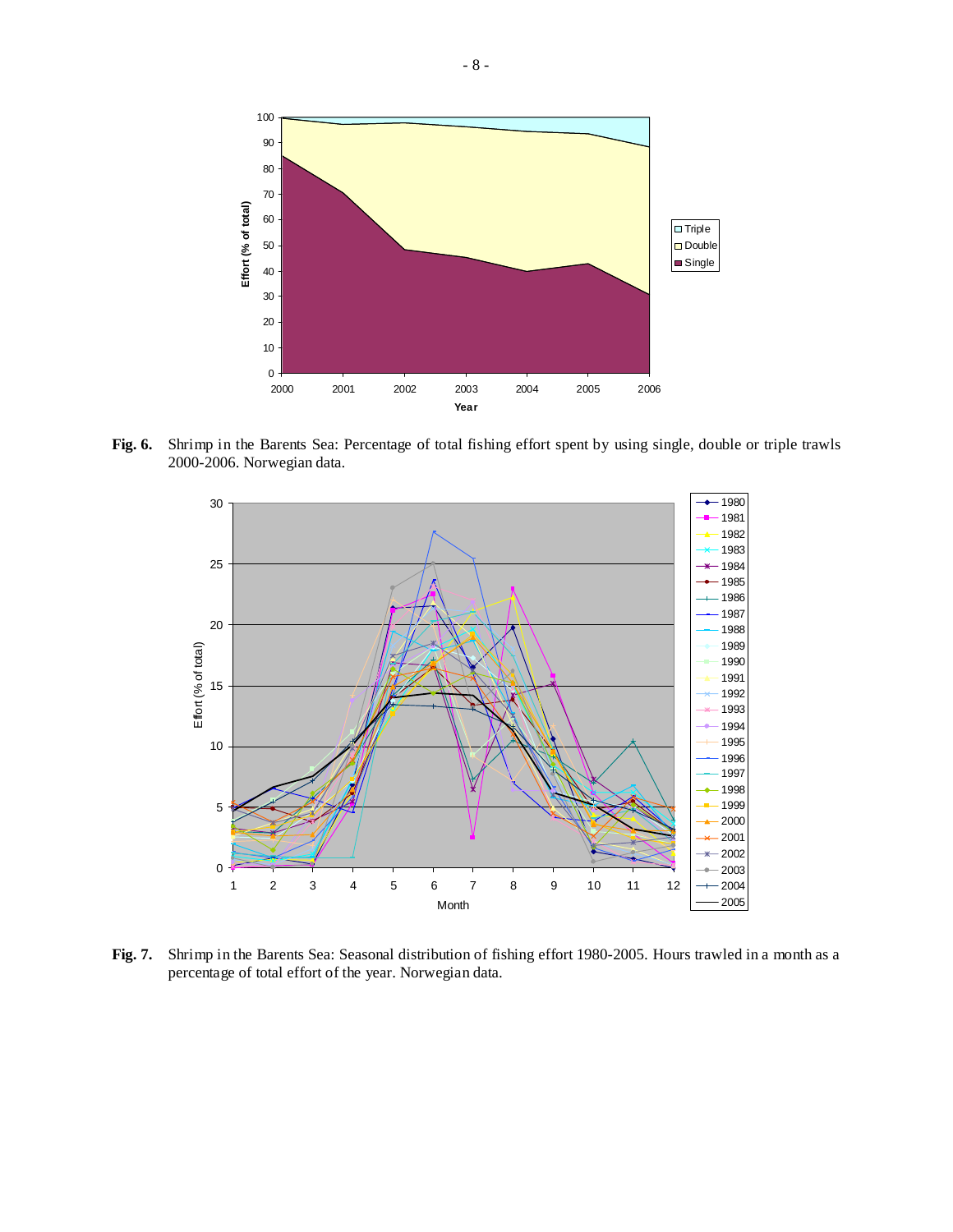

**Fig. 6.** Shrimp in the Barents Sea: Percentage of total fishing effort spent by using single, double or triple trawls 2000-2006. Norwegian data.



**Fig. 7.** Shrimp in the Barents Sea: Seasonal distribution of fishing effort 1980-2005. Hours trawled in a month as a percentage of total effort of the year. Norwegian data.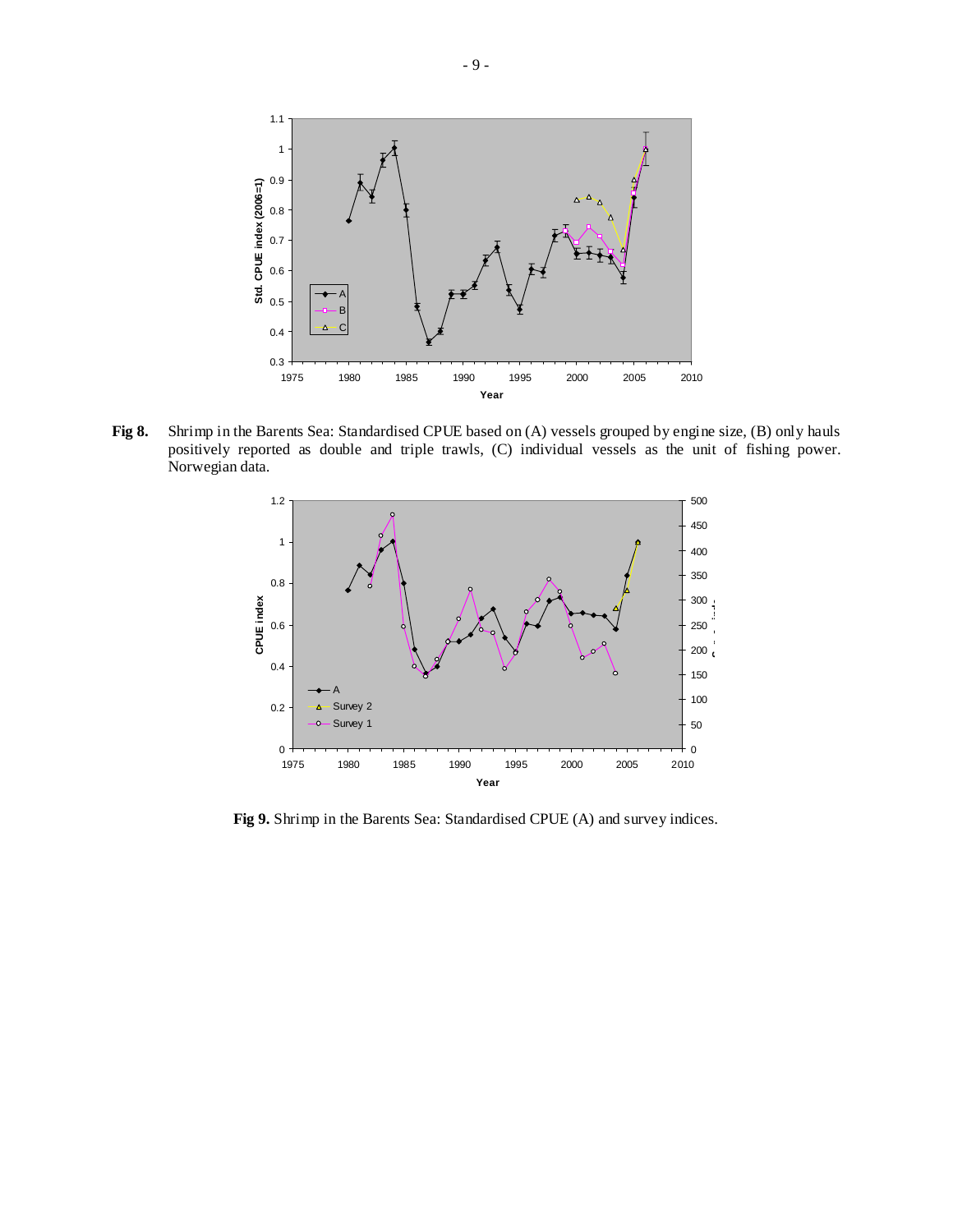

**Fig 8.** Shrimp in the Barents Sea: Standardised CPUE based on (A) vessels grouped by engine size, (B) only hauls positively reported as double and triple trawls, (C) individual vessels as the unit of fishing power. Norwegian data.



**Fig 9.** Shrimp in the Barents Sea: Standardised CPUE (A) and survey indices.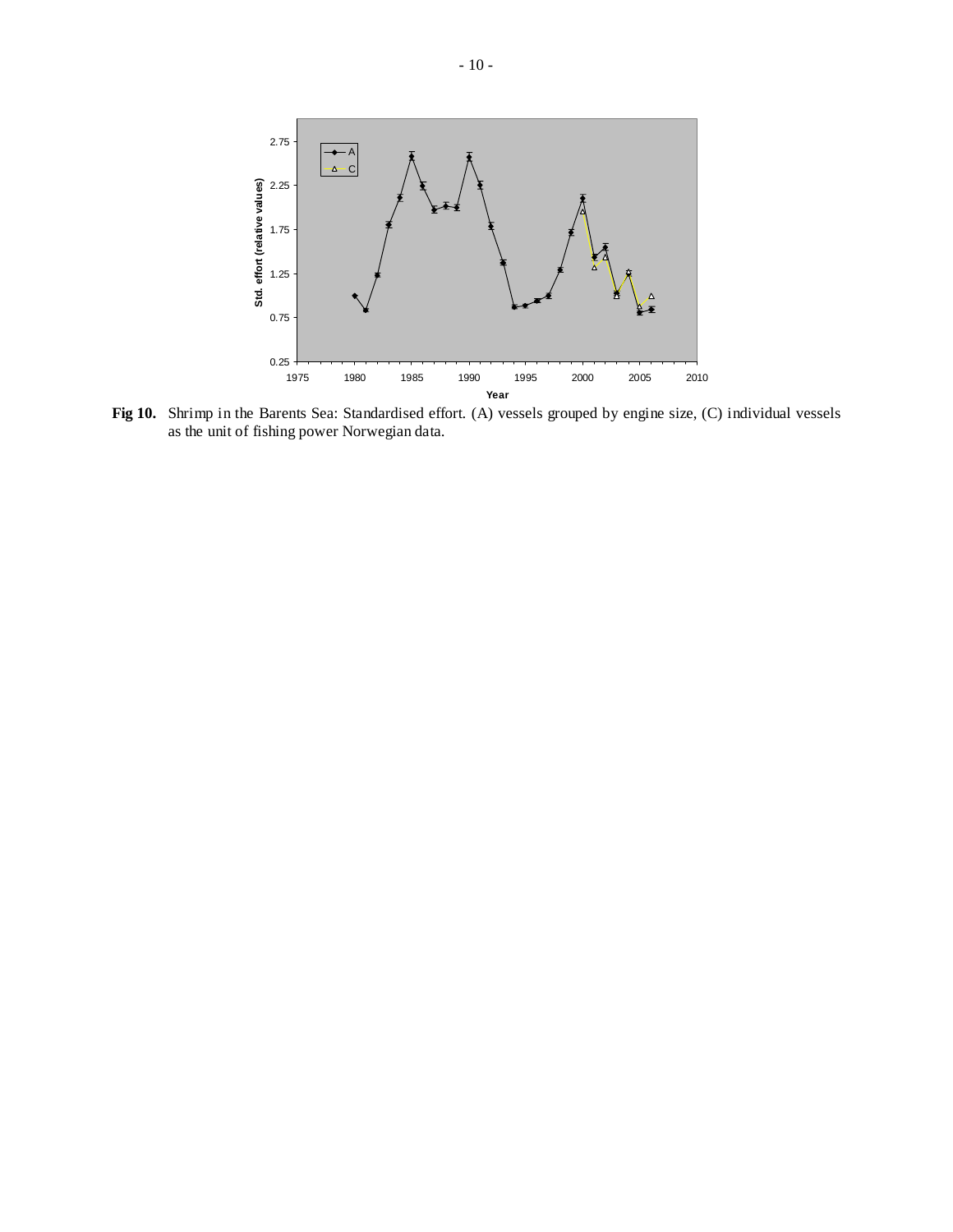

**Fig 10.** Shrimp in the Barents Sea: Standardised effort. (A) vessels grouped by engine size, (C) individual vessels as the unit of fishing power Norwegian data.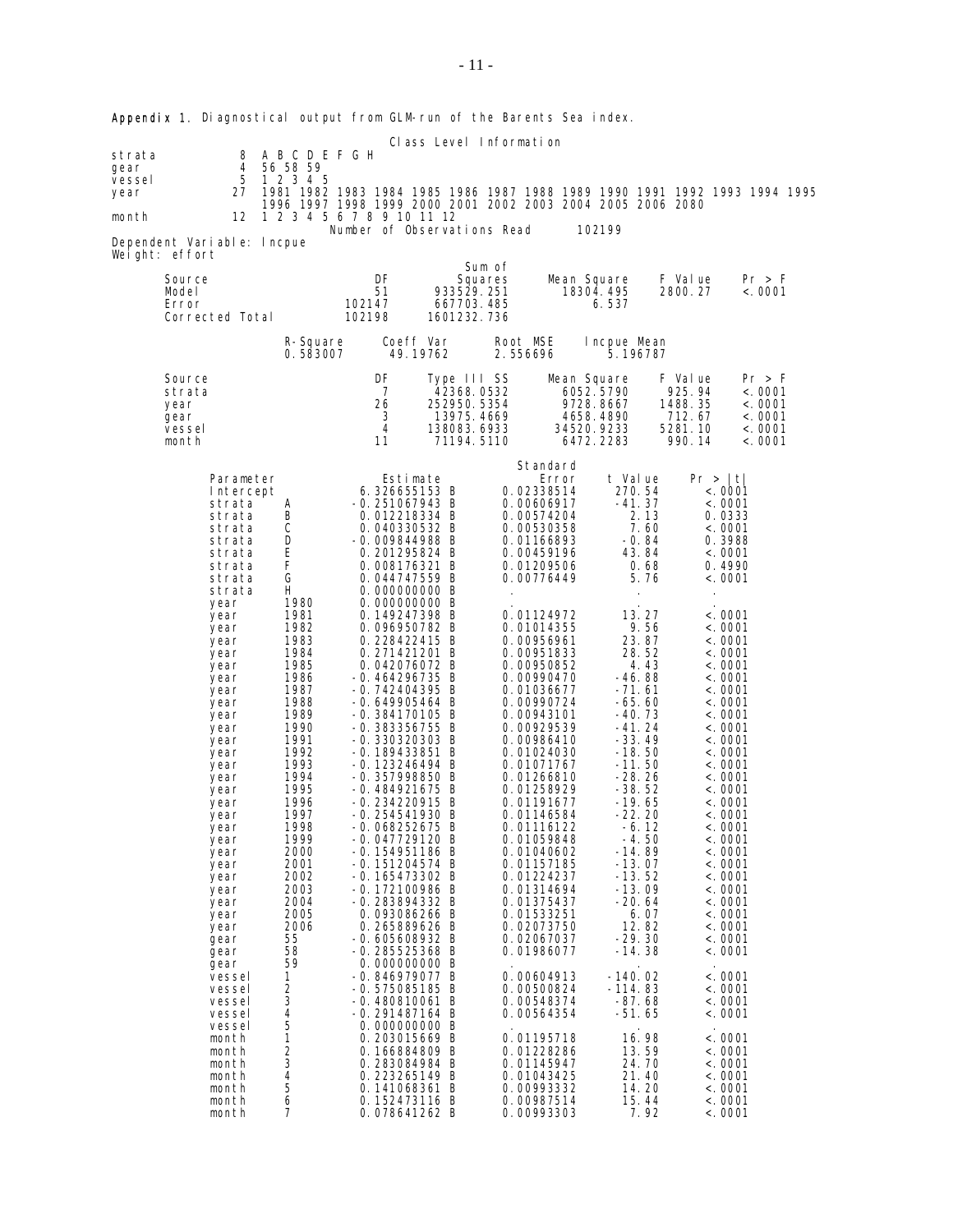| Class Level Information<br>8 A B C D E F G H<br>strata |                                                                                                                                                                                                                                                                                                                                                                                                                                                                         |                                                                                                                                                                                                                                                                                                                                             |                                                                                                                                                                                                                                                                                                                                                                                                                                                                                                                                                                                                                                                                                                                                                                                                                                                                                                                                                                                            |                                                                                      |                      |                                                                                                                                                                                                                                                                                                                                                                                                                                                                                                                                                                                                                                                                                                     |                                                                                                                                                                                                                                                                                                                                                                                                                                                                                                                  |                                                                                                                                                                                                                                                                                                                                                                                                                                                                                                                                                    |                                                                              |  |
|--------------------------------------------------------|-------------------------------------------------------------------------------------------------------------------------------------------------------------------------------------------------------------------------------------------------------------------------------------------------------------------------------------------------------------------------------------------------------------------------------------------------------------------------|---------------------------------------------------------------------------------------------------------------------------------------------------------------------------------------------------------------------------------------------------------------------------------------------------------------------------------------------|--------------------------------------------------------------------------------------------------------------------------------------------------------------------------------------------------------------------------------------------------------------------------------------------------------------------------------------------------------------------------------------------------------------------------------------------------------------------------------------------------------------------------------------------------------------------------------------------------------------------------------------------------------------------------------------------------------------------------------------------------------------------------------------------------------------------------------------------------------------------------------------------------------------------------------------------------------------------------------------------|--------------------------------------------------------------------------------------|----------------------|-----------------------------------------------------------------------------------------------------------------------------------------------------------------------------------------------------------------------------------------------------------------------------------------------------------------------------------------------------------------------------------------------------------------------------------------------------------------------------------------------------------------------------------------------------------------------------------------------------------------------------------------------------------------------------------------------------|------------------------------------------------------------------------------------------------------------------------------------------------------------------------------------------------------------------------------------------------------------------------------------------------------------------------------------------------------------------------------------------------------------------------------------------------------------------------------------------------------------------|----------------------------------------------------------------------------------------------------------------------------------------------------------------------------------------------------------------------------------------------------------------------------------------------------------------------------------------------------------------------------------------------------------------------------------------------------------------------------------------------------------------------------------------------------|------------------------------------------------------------------------------|--|
| gear<br>vessel<br>year<br>month                        | 4<br>5<br>27<br>12                                                                                                                                                                                                                                                                                                                                                                                                                                                      | 56 58 59<br>1 2 3 4 5                                                                                                                                                                                                                                                                                                                       | 1996 1997 1998 1999 2000 2001 2002 2003 2004 2005 2006 2080<br>1 2 3 4 5 6 7 8 9 10 11 12                                                                                                                                                                                                                                                                                                                                                                                                                                                                                                                                                                                                                                                                                                                                                                                                                                                                                                  |                                                                                      |                      |                                                                                                                                                                                                                                                                                                                                                                                                                                                                                                                                                                                                                                                                                                     |                                                                                                                                                                                                                                                                                                                                                                                                                                                                                                                  |                                                                                                                                                                                                                                                                                                                                                                                                                                                                                                                                                    | 1981 1982 1983 1984 1985 1986 1987 1988 1989 1990 1991 1992 1993 1994 1995   |  |
|                                                        | Dependent Variable: Incpue<br>Weight: effort                                                                                                                                                                                                                                                                                                                                                                                                                            |                                                                                                                                                                                                                                                                                                                                             | Number of Observations Read                                                                                                                                                                                                                                                                                                                                                                                                                                                                                                                                                                                                                                                                                                                                                                                                                                                                                                                                                                |                                                                                      |                      |                                                                                                                                                                                                                                                                                                                                                                                                                                                                                                                                                                                                                                                                                                     | 102199                                                                                                                                                                                                                                                                                                                                                                                                                                                                                                           |                                                                                                                                                                                                                                                                                                                                                                                                                                                                                                                                                    |                                                                              |  |
|                                                        | Source<br>Model<br>Error<br>Corrected Total                                                                                                                                                                                                                                                                                                                                                                                                                             |                                                                                                                                                                                                                                                                                                                                             | DF<br>51<br>102147<br>102198                                                                                                                                                                                                                                                                                                                                                                                                                                                                                                                                                                                                                                                                                                                                                                                                                                                                                                                                                               | 933529.251<br>667703.485<br>1601232.736                                              | Sum of<br>Squares    | Mean Square<br>18304.495                                                                                                                                                                                                                                                                                                                                                                                                                                                                                                                                                                                                                                                                            | 6.537                                                                                                                                                                                                                                                                                                                                                                                                                                                                                                            | F Val ue<br>2800.27                                                                                                                                                                                                                                                                                                                                                                                                                                                                                                                                | Pr > F<br>< .0001                                                            |  |
|                                                        |                                                                                                                                                                                                                                                                                                                                                                                                                                                                         | R-Square<br>0.583007                                                                                                                                                                                                                                                                                                                        | Coeff Var<br>49.19762                                                                                                                                                                                                                                                                                                                                                                                                                                                                                                                                                                                                                                                                                                                                                                                                                                                                                                                                                                      |                                                                                      | Root MSE<br>2.556696 |                                                                                                                                                                                                                                                                                                                                                                                                                                                                                                                                                                                                                                                                                                     | Incpue Mean<br>5.196787                                                                                                                                                                                                                                                                                                                                                                                                                                                                                          |                                                                                                                                                                                                                                                                                                                                                                                                                                                                                                                                                    |                                                                              |  |
|                                                        | Source<br>strata<br>year<br>gear<br>vessel<br>month                                                                                                                                                                                                                                                                                                                                                                                                                     |                                                                                                                                                                                                                                                                                                                                             | DF<br>7<br>26<br>3<br>4<br>11                                                                                                                                                                                                                                                                                                                                                                                                                                                                                                                                                                                                                                                                                                                                                                                                                                                                                                                                                              | Type III SS<br>42368.0532<br>252950. 5354<br>13975.4669<br>138083.6933<br>71194.5110 |                      | Mean Square<br>6052.5790<br>4658.4890<br>34520.9233<br>6472.2283                                                                                                                                                                                                                                                                                                                                                                                                                                                                                                                                                                                                                                    | 9728.8667                                                                                                                                                                                                                                                                                                                                                                                                                                                                                                        | F Value<br>925.94<br>1488.35<br>712.67<br>5281.10<br>990.14                                                                                                                                                                                                                                                                                                                                                                                                                                                                                        | Pr > F<br>< .0001<br>< .0001<br>$\langle . \, 0001 \,$<br>< .0001<br>< .0001 |  |
|                                                        | Parameter<br>Intercept<br>strata<br>strata<br>strata<br>strata<br>strata<br>strata<br>strata<br>strata<br>year<br>year<br>year<br>year<br>year<br>year<br>year<br>year<br>year<br>year<br>year<br>year<br>year<br>year<br>year<br>year<br>year<br>year<br>year<br>year<br>year<br>year<br>year<br>year<br>year<br>year<br>year<br>gear<br>gear<br>gear<br>vessel<br>vessel<br>vessel<br>vessel<br>vessel<br>month<br>month<br>month<br>month<br>month<br>month<br>month | A<br>B<br>С<br>D<br>E<br>F<br>G<br>H.<br>1980<br>1981<br>1982<br>1983<br>1984<br>1985<br>1986<br>1987<br>1988<br>1989<br>1990<br>1991<br>1992<br>1993<br>1994<br>1995<br>1996<br>1997<br>1998<br>1999<br>2000<br>2001<br>2002<br>2003<br>2004<br>2005<br>2006<br>55<br>58<br>59<br>1<br>2<br>3<br>4<br>5<br>1<br>2<br>3<br>4<br>5<br>6<br>7 | Estimate<br>6.326655153 B<br>$-0.251067943 B$<br>0.012218334 B<br>0.040330532 B<br>$-0.009844988$ B<br>0.201295824 B<br>0.008176321 B<br>0.044747559 B<br>0.000000000 B<br>0.000000000 B<br>0.149247398 B<br>0.096950782 B<br>0.228422415 B<br>0.271421201 B<br>0.042076072 B<br>$-0.464296735 B$<br>$-0.742404395 B$<br>$-0.649905464 B$<br>$-0.384170105$ B<br>$-0.383356755 B$<br>$-0.330320303 B$<br>$-0.189433851 B$<br>$-0.123246494 B$<br>$-0.357998850 B$<br>$-0.484921675 B$<br>$-0.234220915 \; B$<br>$-0.254541930 B$<br>$-0.068252675 B$<br>$-0.047729120B$<br>$-0.154951186$ B<br>$-0.151204574 B$<br>$-0.165473302 B$<br>$-0.172100986$ B<br>-0.283894332 B<br>0.093086266 B<br>0.265889626 B<br>$-0.605608932 B$<br>$-0.285525368$ B<br>0.000000000 B<br>$-0.846979077 B$<br>$-0.575085185 B$<br>$-0.480810061$ B<br>-0.291487164 B<br>0.000000000 B<br>0.203015669 B<br>0.166884809 B<br>0.283084984 B<br>0.223265149 B<br>0.141068361 B<br>0.152473116 B<br>0.078641262 B |                                                                                      |                      | Standard<br>Error<br>0.02338514<br>0.00606917<br>0.00574204<br>0.00530358<br>0.01166893<br>0.00459196<br>0.01209506<br>0.00776449<br>0.01124972<br>0.01014355<br>0.00956961<br>0.00951833<br>0.00950852<br>0.00990470<br>0.01036677<br>0.00990724<br>0.00943101<br>0.00929539<br>0.00986410<br>0.01024030<br>0.01071767<br>0.01266810<br>0.01258929<br>0.01191677<br>0.01146584<br>0.01116122<br>0.01059848<br>0.01040602<br>0.01157185<br>0.01224237<br>0.01314694<br>0.01375437<br>0.01533251<br>0.02073750<br>0.02067037<br>0.01986077<br>0.00604913<br>0.00500824<br>0.00548374<br>0.00564354<br>0.01195718<br>0.01228286<br>0.01145947<br>0.01043425<br>0.00993332<br>0.00987514<br>0.00993303 | t Value<br>270.54<br>-41.37<br>2.13<br>7.60<br>$-0.84$<br>43.84<br>0.68<br>5.76<br>$\cdot$<br>13.27<br>9.56<br>23.87<br>28.52<br>4.43<br>-46.88<br>$-71.61$<br>$-65.60$<br>-40. 73<br>$-41.24$<br>$-33.49$<br>$-18.50$<br>$-11.50$<br>-28.26<br>-38.52<br>$-19.65$<br>$-22.20$<br>$-6.12$<br>$-4.50$<br>$-14.89$<br>$-13.07$<br>$-13.52$<br>$-13.09$<br>-20. 64<br>6.07<br>12.82<br>-29.30<br>$-14.38$<br>-140.02<br>-114.83<br>$-87.68$<br>-51.65<br>16.98<br>13.59<br>24.70<br>21.40<br>14.20<br>15.44<br>7.92 | Pr >  t <br>< .0001<br>< .0001<br>0.0333<br>< .0001<br>0.3988<br>< .0001<br>0.4990<br>< 0001<br>$\bullet$<br>< .0001<br>< .0001<br>< .0001<br>< .0001<br>< .0001<br>< .0001<br>< .0001<br>< .0001<br>< .0001<br>< .0001<br>< .0001<br>< .0001<br>< .0001<br>< .0001<br>< .0001<br>< .0001<br><.0001<br>< .0001<br><. 0001<br><. 0001<br>< .0001<br><.0001<br><. 0001<br>< .0001<br><.0001<br><. 0001<br>< 0001<br><. 0001<br>< .0001<br><. 0001<br><. 0001<br>< .0001<br>< .0001<br>< .0001<br><. 0001<br><. 0001<br>< .0001<br>< .0001<br>< .0001 |                                                                              |  |

Appendix 1. Diagnostical output from GLM-run of the Barents Sea index.